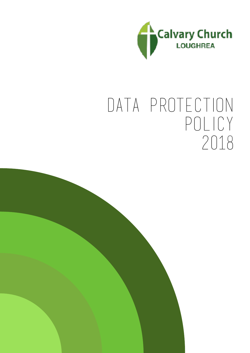

# data protection policy 2018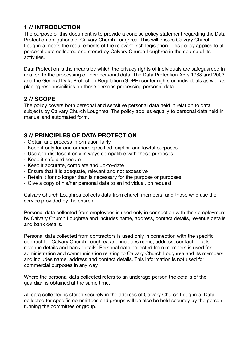# **1 // INTRODUCTION**

The purpose of this document is to provide a concise policy statement regarding the Data Protection obligations of Calvary Church Loughrea. This will ensure Calvary Church Loughrea meets the requirements of the relevant Irish legislation. This policy applies to all personal data collected and stored by Calvary Church Loughrea in the course of its activities.

Data Protection is the means by which the privacy rights of individuals are safeguarded in relation to the processing of their personal data. The Data Protection Acts 1988 and 2003 and the General Data Protection Regulation (GDPR) confer rights on individuals as well as placing responsibilities on those persons processing personal data.

## **2 // SCOPE**

The policy covers both personal and sensitive personal data held in relation to data subjects by Calvary Church Loughrea. The policy applies equally to personal data held in manual and automated form.

## **3 // PRINCIPLES OF DATA PROTECTION**

- Obtain and process information fairly
- Keep it only for one or more specified, explicit and lawful purposes
- Use and disclose it only in ways compatible with these purposes
- Keep it safe and secure
- Keep it accurate, complete and up-to-date
- Ensure that it is adequate, relevant and not excessive
- Retain it for no longer than is necessary for the purpose or purposes
- Give a copy of his/her personal data to an individual, on request

Calvary Church Loughrea collects data from church members, and those who use the service provided by the church.

Personal data collected from employees is used only in connection with their employment by Calvary Church Loughrea and includes name, address, contact details, revenue details and bank details.

Personal data collected from contractors is used only in connection with the specific contract for Calvary Church Loughrea and includes name, address, contact details, revenue details and bank details. Personal data collected from members is used for administration and communication relating to Calvary Church Loughrea and its members and includes name, address and contact details. This information is not used for commercial purposes in any way.

Where the personal data collected refers to an underage person the details of the guardian is obtained at the same time.

All data collected is stored securely in the address of Calvary Church Loughrea. Data collected for specific committees and groups will be also be held securely by the person running the committee or group.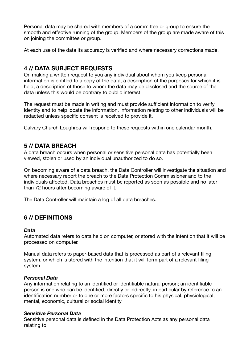Personal data may be shared with members of a committee or group to ensure the smooth and effective running of the group. Members of the group are made aware of this on joining the committee or group.

At each use of the data its accuracy is verified and where necessary corrections made.

## **4 // DATA SUBJECT REQUESTS**

On making a written request to you any individual about whom you keep personal information is entitled to a copy of the data, a description of the purposes for which it is held, a description of those to whom the data may be disclosed and the source of the data unless this would be contrary to public interest.

The request must be made in writing and must provide sufficient information to verify identity and to help locate the information. Information relating to other individuals will be redacted unless specific consent is received to provide it.

Calvary Church Loughrea will respond to these requests within one calendar month.

## **5 // DATA BREACH**

A data breach occurs when personal or sensitive personal data has potentially been viewed, stolen or used by an individual unauthorized to do so.

On becoming aware of a data breach, the Data Controller will investigate the situation and where necessary report the breach to the Data Protection Commissioner and to the individuals affected. Data breaches must be reported as soon as possible and no later than 72 hours after becoming aware of it.

The Data Controller will maintain a log of all data breaches.

## **6 // DEFINITIONS**

#### *Data*

Automated data refers to data held on computer, or stored with the intention that it will be processed on computer.

Manual data refers to paper-based data that is processed as part of a relevant filing system, or which is stored with the intention that it will form part of a relevant filing system.

#### *Personal Data*

Any information relating to an identified or identifiable natural person; an identifiable person is one who can be identified, directly or indirectly, in particular by reference to an identification number or to one or more factors specific to his physical, physiological, mental, economic, cultural or social identity

#### *Sensitive Personal Data*

Sensitive personal data is defined in the Data Protection Acts as any personal data relating to